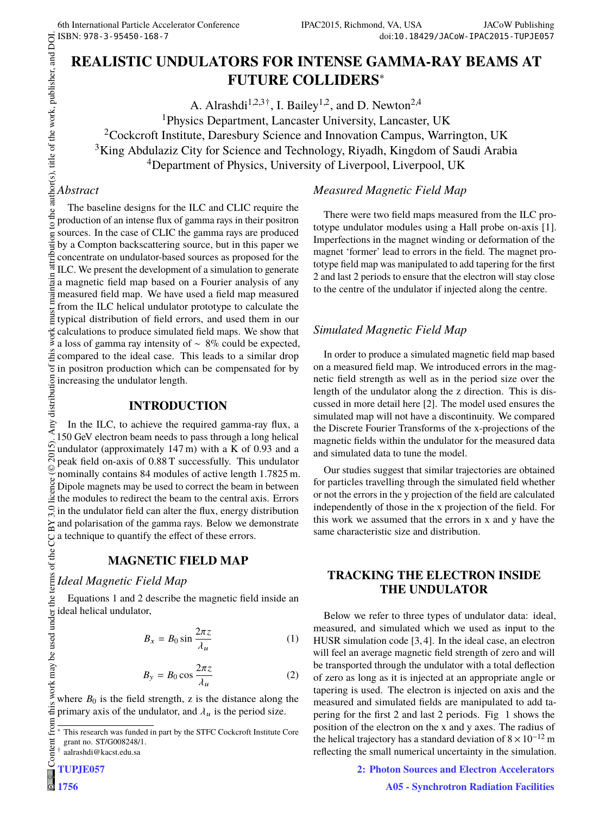# **REALISTIC UNDULATORS FOR INTENSE GAMMA-RAY BEAMS AT FUTURE COLLIDERS**<sup>∗</sup>

A. Alrashdi<sup>1,2,3†</sup>, I. Bailey<sup>1,2</sup>, and D. Newton<sup>2,4</sup> <sup>1</sup>Physics Department, Lancaster University, Lancaster, UK <sup>2</sup>Cockcroft Institute, Daresbury Science and Innovation Campus, Warrington, UK <sup>3</sup>King Abdulaziz City for Science and Technology, Riyadh, Kingdom of Saudi Arabia <sup>4</sup>Department of Physics, University of Liverpool, Liverpool, UK

### *Abstract*

The baseline designs for the ILC and CLIC require the production of an intense flux of gamma rays in their positron sources. In the case of CLIC the gamma rays are produced by a Compton backscattering source, but in this paper we concentrate on undulator-based sources as proposed for the ILC. We present the development of a simulation to generate a magnetic field map based on a Fourier analysis of any measured field map. We have used a field map measured from the ILC helical undulator prototype to calculate the typical distribution of field errors, and used them in our calculations to produce simulated field maps. We show that a loss of gamma ray intensity of ∼ 8% could be expected,  $\ddot{\tilde{\mathbf{\Xi}}}$  compared to the ideal case. This leads to a similar drop in positron production which can be compensated for by

### **INTRODUCTION**

Examples in position production which contains increasing the undulator length.<br>  $\frac{1}{2}$  **INTRODU**  $\frac{1}{2}$  **INTRODU** In the ILC, to achieve the required gamma-ray flux, a 150 GeV electron beam needs to pass through a long helical undulator (approximately 147 m) with a K of 0.93 and a peak field on-axis of 0.88 T successfully. This undulator nominally contains 84 modules of active length 1.7825 m. Dipole magnets may be used to correct the beam in between the modules to redirect the beam to the central axis. Errors in the undulator field can alter the flux, energy distribution and polarisation of the gamma rays. Below we demonstrate a technique to quantify the effect of these errors.

# **MAGNETIC FIELD MAP**

# *Ideal Magnetic Field Map*

Equations 1 and 2 describe the magnetic field inside an ideal helical undulator,

$$
B_x = B_0 \sin \frac{2\pi z}{\lambda_u} \tag{1}
$$

$$
B_y = B_0 \cos \frac{2\pi z}{\lambda_u} \tag{2}
$$

where  $B_0$  is the field strength, z is the distance along the primary axis of the undulator, and  $\lambda_u$  is the period size.

† aalrashdi@kacst.edu.sa

#### totype undulator modules using a Hall probe on-axis [1]. Imperfections in the magnet winding or deformation of the

*Measured Magnetic Field Map*

magnet 'former' lead to errors in the field. The magnet prototype field map was manipulated to add tapering for the first 2 and last 2 periods to ensure that the electron will stay close to the centre of the undulator if injected along the centre.

There were two field maps measured from the ILC pro-

# *Simulated Magnetic Field Map*

In order to produce a simulated magnetic field map based on a measured field map. We introduced errors in the magnetic field strength as well as in the period size over the length of the undulator along the z direction. This is discussed in more detail here [2]. The model used ensures the simulated map will not have a discontinuity. We compared the Discrete Fourier Transforms of the x-projections of the magnetic fields within the undulator for the measured data and simulated data to tune the model.

Our studies suggest that similar trajectories are obtained for particles travelling through the simulated field whether or not the errors in the y projection of the field are calculated independently of those in the x projection of the field. For this work we assumed that the errors in x and y have the same characteristic size and distribution.

### **TRACKING THE ELECTRON INSIDE THE UNDULATOR**

Below we refer to three types of undulator data: ideal, measured, and simulated which we used as input to the HUSR simulation code [3, 4]. In the ideal case, an electron will feel an average magnetic field strength of zero and will be transported through the undulator with a total deflection of zero as long as it is injected at an appropriate angle or tapering is used. The electron is injected on axis and the measured and simulated fields are manipulated to add tapering for the first 2 and last 2 periods. Fig 1 shows the position of the electron on the x and y axes. The radius of the helical trajectory has a standard deviation of  $8 \times 10^{-12}$  m reflecting the small numerical uncertainty in the simulation.

**2: Photon Sources and Electron Accelerators**

This research was funded in part by the STFC Cockcroft Institute Core grant no. ST/G008248/1.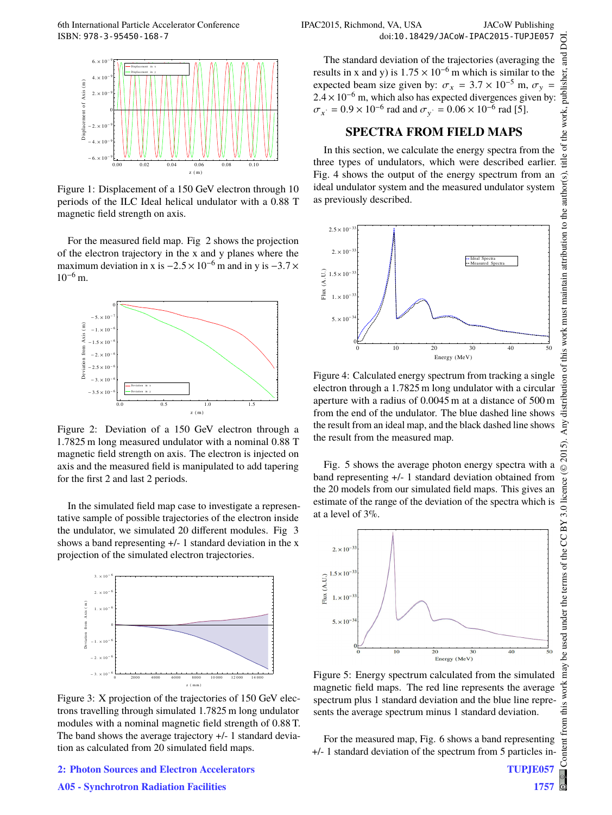

Figure 1: Displacement of a 150 GeV electron through 10 periods of the ILC Ideal helical undulator with a 0.88 T magnetic field strength on axis.

For the measured field map. Fig 2 shows the projection of the electron trajectory in the x and y planes where the maximum deviation in x is  $-2.5 \times 10^{-6}$  m and in y is  $-3.7 \times$  $10^{-6}$  m.



Figure 2: Deviation of a 150 GeV electron through a 1.7825 m long measured undulator with a nominal 0.88 T magnetic field strength on axis. The electron is injected on axis and the measured field is manipulated to add tapering for the first 2 and last 2 periods.

In the simulated field map case to investigate a representative sample of possible trajectories of the electron inside the undulator, we simulated 20 different modules. Fig 3 shows a band representing +/- 1 standard deviation in the x projection of the simulated electron trajectories.



Figure 3: X projection of the trajectories of 150 GeV electrons travelling through simulated 1.7825 m long undulator modules with a nominal magnetic field strength of 0.88 T. The band shows the average trajectory +/- 1 standard deviation as calculated from 20 simulated field maps.

**2: Photon Sources and Electron Accelerators**

#### **A05 - Synchrotron Radiation Facilities**

The standard deviation of the trajectories (averaging the results in x and y) is  $1.75 \times 10^{-6}$  m which is similar to the expected beam size given by:  $\sigma_x = 3.7 \times 10^{-5}$  m,  $\sigma_y =$  $2.4 \times 10^{-6}$  m, which also has expected divergences given by:  $\sigma_{x^*} = 0.9 \times 10^{-6}$  rad and  $\sigma_{y^*} = 0.06 \times 10^{-6}$  rad [5].

#### **SPECTRA FROM FIELD MAPS**

In this section, we calculate the energy spectra from the three types of undulators, which were described earlier. Fig. 4 shows the output of the energy spectrum from an ideal undulator system and the measured undulator system as previously described.



Figure 4: Calculated energy spectrum from tracking a single electron through a 1.7825 m long undulator with a circular aperture with a radius of 0.0045 m at a distance of 500 m from the end of the undulator. The blue dashed line shows the result from an ideal map, and the black dashed line shows the result from the measured map.

Fig. 5 shows the average photon energy spectra with a band representing +/- 1 standard deviation obtained from the 20 models from our simulated field maps. This gives an estimate of the range of the deviation of the spectra which is at a level of 3%.



Figure 5: Energy spectrum calculated from the simulated magnetic field maps. The red line represents the average spectrum plus 1 standard deviation and the blue line represents the average spectrum minus 1 standard deviation.

For the measured map, Fig. 6 shows a band representing +/- 1 standard deviation of the spectrum from 5 particles in-

**TUPJE057**